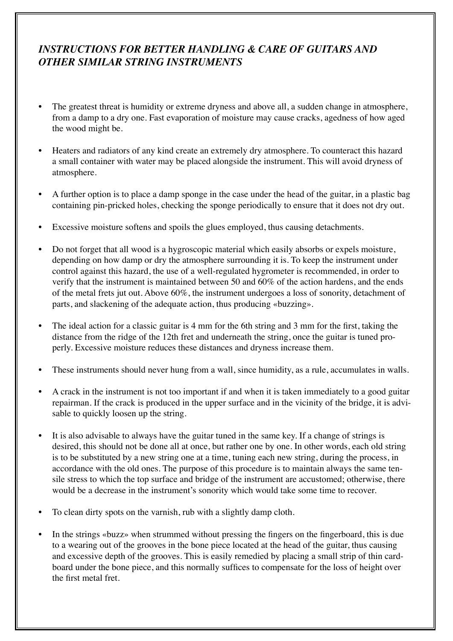### *INSTRUCTIONS FOR BETTER HANDLING & CARE OF GUITARS AND OTHER SIMILAR STRING INSTRUMENTS*

- The greatest threat is humidity or extreme dryness and above all, a sudden change in atmosphere, from a damp to a dry one. Fast evaporation of moisture may cause cracks, agedness of how aged the wood might be.
- Heaters and radiators of any kind create an extremely dry atmosphere. To counteract this hazard a small container with water may be placed alongside the instrument. This will avoid dryness of atmosphere.
- A further option is to place a damp sponge in the case under the head of the guitar, in a plastic bag containing pin-pricked holes, checking the sponge periodically to ensure that it does not dry out.
- Excessive moisture softens and spoils the glues employed, thus causing detachments.
- Do not forget that all wood is a hygroscopic material which easily absorbs or expels moisture, depending on how damp or dry the atmosphere surrounding it is. To keep the instrument under control against this hazard, the use of a well-regulated hygrometer is recommended, in order to verify that the instrument is maintained between 50 and 60% of the action hardens, and the ends of the metal frets jut out. Above 60%, the instrument undergoes a loss of sonority, detachment of parts, and slackening of the adequate action, thus producing «buzzing».
- The ideal action for a classic guitar is 4 mm for the 6th string and 3 mm for the first, taking the distance from the ridge of the 12th fret and underneath the string, once the guitar is tuned properly. Excessive moisture reduces these distances and dryness increase them.
- These instruments should never hung from a wall, since humidity, as a rule, accumulates in walls.
- A crack in the instrument is not too important if and when it is taken immediately to a good guitar repairman. If the crack is produced in the upper surface and in the vicinity of the bridge, it is advisable to quickly loosen up the string.
- It is also advisable to always have the guitar tuned in the same key. If a change of strings is desired, this should not be done all at once, but rather one by one. In other words, each old string is to be substituted by a new string one at a time, tuning each new string, during the process, in accordance with the old ones. The purpose of this procedure is to maintain always the same tensile stress to which the top surface and bridge of the instrument are accustomed; otherwise, there would be a decrease in the instrument's sonority which would take some time to recover.
- To clean dirty spots on the varnish, rub with a slightly damp cloth.
- In the strings «buzz» when strummed without pressing the fingers on the fingerboard, this is due to a wearing out of the grooves in the bone piece located at the head of the guitar, thus causing and excessive depth of the grooves. This is easily remedied by placing a small strip of thin cardboard under the bone piece, and this normally suffices to compensate for the loss of height over the first metal fret.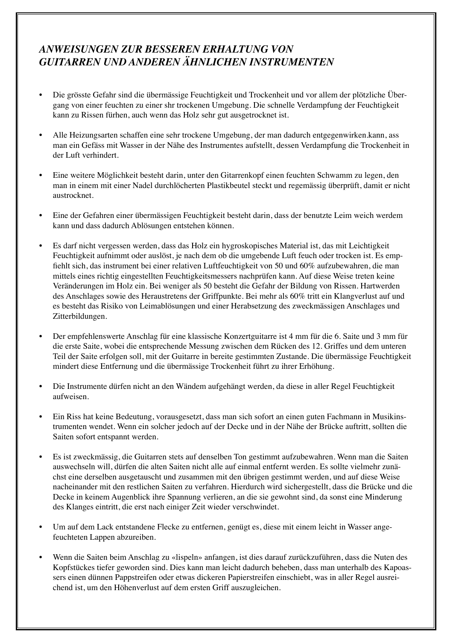### *ANWEISUNGEN ZUR BESSEREN ERHALTUNG VON GUITARREN UND ANDEREN ÄHNLICHEN INSTRUMENTEN*

- • Die grösste Gefahr sind die übermässige Feuchtigkeit und Trockenheit und vor allem der plötzliche Übergang von einer feuchten zu einer shr trockenen Umgebung. Die schnelle Verdampfung der Feuchtigkeit kann zu Rissen fürhen, auch wenn das Holz sehr gut ausgetrocknet ist.
- Alle Heizungsarten schaffen eine sehr trockene Umgebung, der man dadurch entgegenwirken.kann, ass man ein Gefäss mit Wasser in der Nähe des Instrumentes aufstellt, dessen Verdampfung die Trockenheit in der Luft verhindert.
- Eine weitere Möglichkeit besteht darin, unter den Gitarrenkopf einen feuchten Schwamm zu legen, den man in einem mit einer Nadel durchlöcherten Plastikbeutel steckt und regemässig überprüft, damit er nicht austrocknet.
- Eine der Gefahren einer übermässigen Feuchtigkeit besteht darin, dass der benutzte Leim weich werdem kann und dass dadurch Ablösungen entstehen können.
- Es darf nicht vergessen werden, dass das Holz ein hygroskopisches Material ist, das mit Leichtigkeit Feuchtigkeit aufnimmt oder auslöst, je nach dem ob die umgebende Luft feuch oder trocken ist. Es empfiehlt sich, das instrument bei einer relativen Luftfeuchtigkeit von 50 und 60% aufzubewahren, die man mittels eines richtig eingestellten Feuchtigkeitsmessers nachprüfen kann. Auf diese Weise treten keine Veränderungen im Holz ein. Bei weniger als 50 besteht die Gefahr der Bildung von Rissen. Hartwerden des Anschlages sowie des Heraustretens der Griffpunkte. Bei mehr als 60% tritt ein Klangverlust auf und es besteht das Risiko von Leimablösungen und einer Herabsetzung des zweckmässigen Anschlages und Zitterbildungen.
- Der empfehlenswerte Anschlag für eine klassische Konzertguitarre ist 4 mm für die 6. Saite und 3 mm für die erste Saite, wobei die entsprechende Messung zwischen dem Rücken des 12. Griffes und dem unteren Teil der Saite erfolgen soll, mit der Guitarre in bereite gestimmten Zustande. Die übermässige Feuchtigkeit mindert diese Entfernung und die übermässige Trockenheit führt zu ihrer Erhöhung.
- Die Instrumente dürfen nicht an den Wändem aufgehängt werden, da diese in aller Regel Feuchtigkeit aufweisen.
- Ein Riss hat keine Bedeutung, vorausgesetzt, dass man sich sofort an einen guten Fachmann in Musikinstrumenten wendet. Wenn ein solcher jedoch auf der Decke und in der Nähe der Brücke auftritt, sollten die Saiten sofort entspannt werden.
- • Es ist zweckmässig, die Guitarren stets auf denselben Ton gestimmt aufzubewahren. Wenn man die Saiten auswechseln will, dürfen die alten Saiten nicht alle auf einmal entfernt werden. Es sollte vielmehr zunächst eine derselben ausgetauscht und zusammen mit den übrigen gestimmt werden, und auf diese Weise nacheinander mit den restlichen Saiten zu verfahren. Hierdurch wird sichergestellt, dass die Brücke und die Decke in keinem Augenblick ihre Spannung verlieren, an die sie gewohnt sind, da sonst eine Minderung des Klanges eintritt, die erst nach einiger Zeit wieder verschwindet.
- Um auf dem Lack entstandene Flecke zu entfernen, genügt es, diese mit einem leicht in Wasser angefeuchteten Lappen abzureiben.
- Wenn die Saiten beim Anschlag zu «lispeln» anfangen, ist dies darauf zurückzuführen, dass die Nuten des Kopfstückes tiefer geworden sind. Dies kann man leicht dadurch beheben, dass man unterhalb des Kapoassers einen dünnen Pappstreifen oder etwas dickeren Papierstreifen einschiebt, was in aller Regel ausreichend ist, um den Höhenverlust auf dem ersten Griff auszugleichen.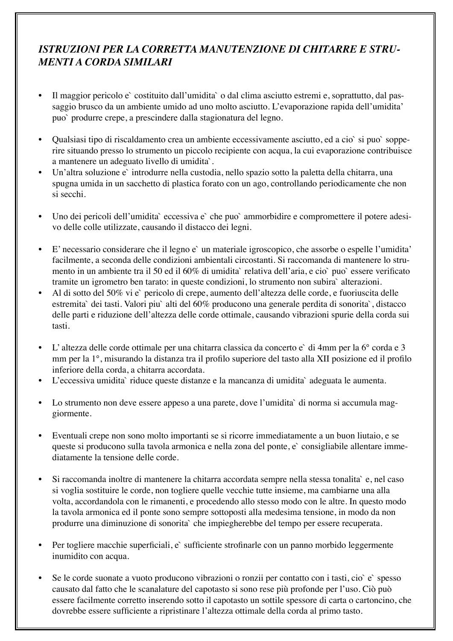# *ISTRUZIONI PER LA CORRETTA MANUTENZIONE DI CHITARRE E STRU-MENTI A CORDA SIMILARI*

- Il maggior pericolo e` costituito dall'umidita` o dal clima asciutto estremi e, soprattutto, dal passaggio brusco da un ambiente umido ad uno molto asciutto. L'evaporazione rapida dell'umidita' puo` produrre crepe, a prescindere dalla stagionatura del legno.
- Qualsiasi tipo di riscaldamento crea un ambiente eccessivamente asciutto, ed a cio` si puo` sopperire situando presso lo strumento un piccolo recipiente con acqua, la cui evaporazione contribuisce a mantenere un adeguato livello di umidita`.
- Un'altra soluzione e` introdurre nella custodia, nello spazio sotto la paletta della chitarra, una spugna umida in un sacchetto di plastica forato con un ago, controllando periodicamente che non si secchi.
- Uno dei pericoli dell'umidita` eccessiva e` che puo` ammorbidire e compromettere il potere adesivo delle colle utilizzate, causando il distacco dei legni.
- • E' necessario considerare che il legno e` un materiale igroscopico, che assorbe o espelle l'umidita' facilmente, a seconda delle condizioni ambientali circostanti. Si raccomanda di mantenere lo strumento in un ambiente tra il 50 ed il 60% di umidita` relativa dell'aria, e cio` puo` essere verificato tramite un igrometro ben tarato: in queste condizioni, lo strumento non subira` alterazioni.
- Al di sotto del 50% vi e` pericolo di crepe, aumento dell'altezza delle corde, e fuoriuscita delle estremita` dei tasti. Valori piu` alti del 60% producono una generale perdita di sonorita`, distacco delle parti e riduzione dell'altezza delle corde ottimale, causando vibrazioni spurie della corda sui tasti.
- • L' altezza delle corde ottimale per una chitarra classica da concerto e` di 4mm per la 6° corda e 3 mm per la 1°, misurando la distanza tra il profilo superiore del tasto alla XII posizione ed il profilo inferiore della corda, a chitarra accordata.
- L'eccessiva umidita` riduce queste distanze e la mancanza di umidita` adeguata le aumenta.
- Lo strumento non deve essere appeso a una parete, dove l'umidita` di norma si accumula maggiormente.
- Eventuali crepe non sono molto importanti se si ricorre immediatamente a un buon liutaio, e se queste si producono sulla tavola armonica e nella zona del ponte, e` consigliabile allentare immediatamente la tensione delle corde.
- Si raccomanda inoltre di mantenere la chitarra accordata sempre nella stessa tonalita` e, nel caso si voglia sostituire le corde, non togliere quelle vecchie tutte insieme, ma cambiarne una alla volta, accordandola con le rimanenti, e procedendo allo stesso modo con le altre. In questo modo la tavola armonica ed il ponte sono sempre sottoposti alla medesima tensione, in modo da non produrre una diminuzione di sonorita` che impiegherebbe del tempo per essere recuperata.
- Per togliere macchie superficiali, e` sufficiente strofinarle con un panno morbido leggermente inumidito con acqua.
- Se le corde suonate a vuoto producono vibrazioni o ronzii per contatto con i tasti, cio è spesso causato dal fatto che le scanalature del capotasto si sono rese più profonde per l'uso. Ciò può essere facilmente corretto inserendo sotto il capotasto un sottile spessore di carta o cartoncino, che dovrebbe essere sufficiente a ripristinare l'altezza ottimale della corda al primo tasto.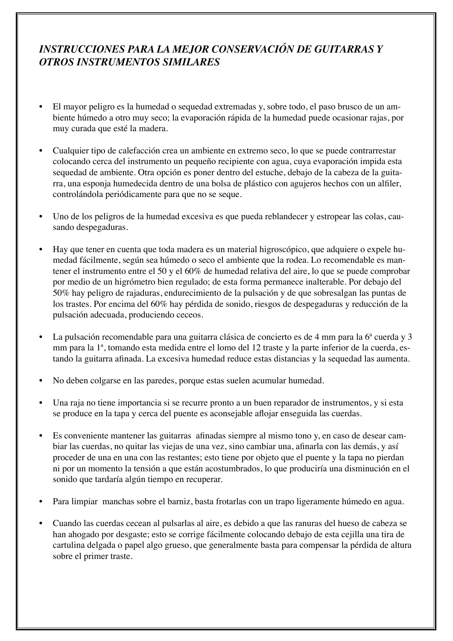## *INSTRUCCIONES PARA LA MEJOR CONSERVACIÓN DE GUITARRAS Y OTROS INSTRUMENTOS SIMILARES*

- • El mayor peligro es la humedad o sequedad extremadas y, sobre todo, el paso brusco de un ambiente húmedo a otro muy seco; la evaporación rápida de la humedad puede ocasionar rajas, por muy curada que esté la madera.
- Cualquier tipo de calefacción crea un ambiente en extremo seco, lo que se puede contrarrestar colocando cerca del instrumento un pequeño recipiente con agua, cuya evaporación impida esta sequedad de ambiente. Otra opción es poner dentro del estuche, debajo de la cabeza de la guitarra, una esponja humedecida dentro de una bolsa de plástico con agujeros hechos con un alfiler, controlándola periódicamente para que no se seque.
- Uno de los peligros de la humedad excesiva es que pueda reblandecer y estropear las colas, causando despegaduras.
- Hay que tener en cuenta que toda madera es un material higroscópico, que adquiere o expele humedad fácilmente, según sea húmedo o seco el ambiente que la rodea. Lo recomendable es mantener el instrumento entre el 50 y el 60% de humedad relativa del aire, lo que se puede comprobar por medio de un higrómetro bien regulado; de esta forma permanece inalterable. Por debajo del 50% hay peligro de rajaduras, endurecimiento de la pulsación y de que sobresalgan las puntas de los trastes. Por encima del 60% hay pérdida de sonido, riesgos de despegaduras y reducción de la pulsación adecuada, produciendo ceceos.
- La pulsación recomendable para una guitarra clásica de concierto es de 4 mm para la 6<sup>ª</sup> cuerda y 3 mm para la 1ª, tomando esta medida entre el lomo del 12 traste y la parte inferior de la cuerda, estando la guitarra afinada. La excesiva humedad reduce estas distancias y la sequedad las aumenta.
- No deben colgarse en las paredes, porque estas suelen acumular humedad.
- Una raja no tiene importancia si se recurre pronto a un buen reparador de instrumentos, y si esta se produce en la tapa y cerca del puente es aconsejable aflojar enseguida las cuerdas.
- • Es conveniente mantener las guitarras afinadas siempre al mismo tono y, en caso de desear cambiar las cuerdas, no quitar las viejas de una vez, sino cambiar una, afinarla con las demás, y así proceder de una en una con las restantes; esto tiene por objeto que el puente y la tapa no pierdan ni por un momento la tensión a que están acostumbrados, lo que produciría una disminución en el sonido que tardaría algún tiempo en recuperar.
- • Para limpiar manchas sobre el barniz, basta frotarlas con un trapo ligeramente húmedo en agua.
- Cuando las cuerdas cecean al pulsarlas al aire, es debido a que las ranuras del hueso de cabeza se han ahogado por desgaste; esto se corrige fácilmente colocando debajo de esta cejilla una tira de cartulina delgada o papel algo grueso, que generalmente basta para compensar la pérdida de altura sobre el primer traste.